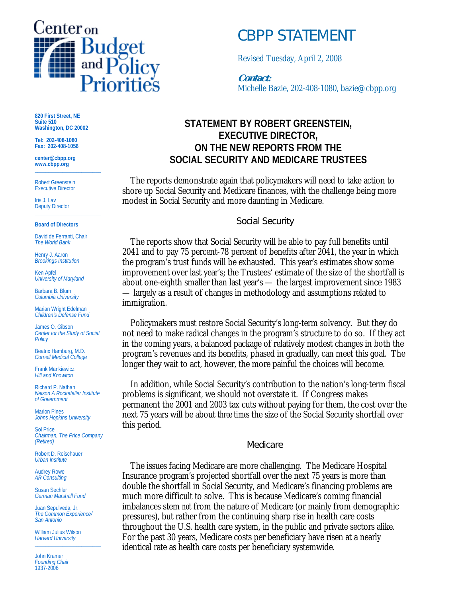

# *CBPP STATEMENT*

Revised Tuesday, April 2, 2008

### **Contact:**

Michelle Bazie, 202-408-1080, bazie@cbpp.org

## **STATEMENT BY ROBERT GREENSTEIN, EXECUTIVE DIRECTOR, ON THE NEW REPORTS FROM THE SOCIAL SECURITY AND MEDICARE TRUSTEES**

 The reports demonstrate again that policymakers will need to take action to shore up Social Security and Medicare finances, with the challenge being more modest in Social Security and more daunting in Medicare.

#### Social Security

 The reports show that Social Security will be able to pay full benefits until 2041 and to pay 75 percent-78 percent of benefits after 2041, the year in which the program's trust funds will be exhausted. This year's estimates show some improvement over last year's; the Trustees' estimate of the size of the shortfall is about one-eighth smaller than last year's — the largest improvement since 1983 — largely as a result of changes in methodology and assumptions related to immigration.

 Policymakers must restore Social Security's long-term solvency. But they do not need to make radical changes in the program's structure to do so. If they act in the coming years, a balanced package of relatively modest changes in both the program's revenues and its benefits, phased in gradually, can meet this goal. The longer they wait to act, however, the more painful the choices will become.

 In addition, while Social Security's contribution to the nation's long-term fiscal problems is significant, we should not overstate it. If Congress makes permanent the 2001 and 2003 tax cuts without paying for them, the cost over the next 75 years will be about *three times* the size of the Social Security shortfall over this period.

#### Medicare

 The issues facing Medicare are more challenging. The Medicare Hospital Insurance program's projected shortfall over the next 75 years is more than double the shortfall in Social Security, and Medicare's financing problems are much more difficult to solve. This is because Medicare's coming financial imbalances stem *not* from the nature of Medicare (or mainly from demographic pressures), but rather from the continuing sharp rise in health care costs throughout the U.S. health care system, in the public and private sectors alike. For the past 30 years, Medicare costs per beneficiary have risen at a nearly identical rate as health care costs per beneficiary systemwide.

**820 First Street, NE Suite 510 Washington, DC 20002** 

**Tel: 202-408-1080 Fax: 202-408-1056** 

**center@cbpp.org www.cbpp.org \_\_\_\_\_\_\_\_\_\_\_\_\_\_\_\_\_\_\_\_\_\_\_\_** 

Robert Greenstein Executive Director

Iris J. Lav Deputy Director **\_\_\_\_\_\_\_\_\_\_\_\_\_\_\_\_\_\_\_\_\_\_\_\_** 

#### **Board of Directors**

David de Ferranti, Chair *The World Bank* 

Henry J. Aaron *Brookings Institution* 

Ken Apfel *University of Maryland* 

Barbara B. Blum *Columbia University* 

Marian Wright Edelman *Children's Defense Fund* 

James O. Gibson *Center for the Study of Social Policy* 

Beatrix Hamburg, M.D. *Cornell Medical College* 

Frank Mankiewicz *Hill and Knowlton* 

Richard P. Nathan *Nelson A Rockefeller Institute of Government* 

Marion Pines *Johns Hopkins University* 

Sol Price *Chairman, The Price Company (Retired)* 

Robert D. Reischauer *Urban Institute* 

Audrey Rowe *AR Consulting* 

Susan Sechler *German Marshall Fund* 

Juan Sepulveda, Jr. *The Common Experience/ San Antonio* 

William Julius Wilson *Harvard University*  **\_\_\_\_\_\_\_\_\_\_\_\_\_\_\_\_\_\_\_\_\_\_\_\_** 

John Kramer *Founding Chair*  1937-2006